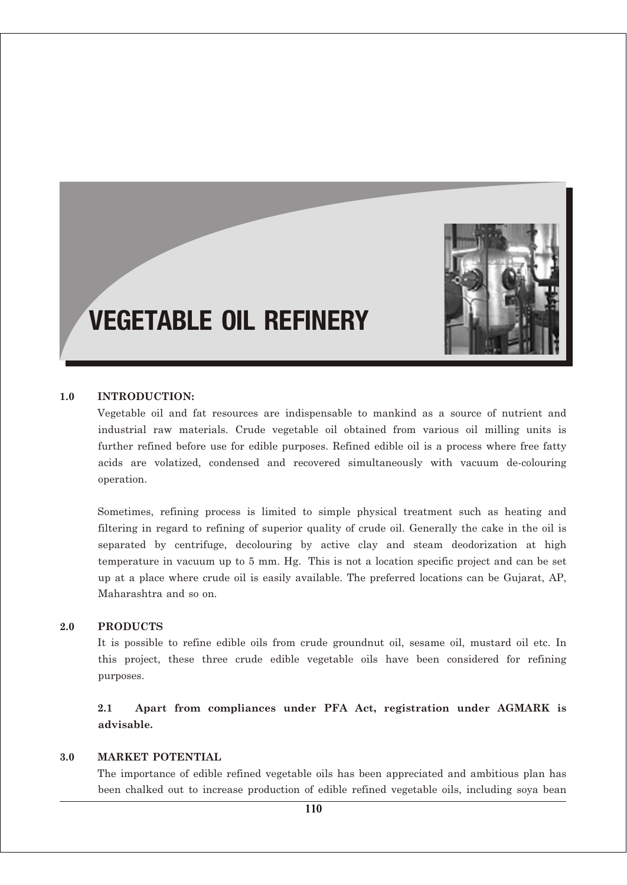

# VEGETABLE OIL REFINERY

#### **1.0 INTRODUCTION:**

Vegetable oil and fat resources are indispensable to mankind as a source of nutrient and industrial raw materials. Crude vegetable oil obtained from various oil milling units is further refined before use for edible purposes. Refined edible oil is a process where free fatty acids are volatized, condensed and recovered simultaneously with vacuum de-colouring operation.

Sometimes, refining process is limited to simple physical treatment such as heating and filtering in regard to refining of superior quality of crude oil. Generally the cake in the oil is separated by centrifuge, decolouring by active clay and steam deodorization at high temperature in vacuum up to 5 mm. Hg. This is not a location specific project and can be set up at a place where crude oil is easily available. The preferred locations can be Gujarat, AP, Maharashtra and so on.

#### **2.0 PRODUCTS**

It is possible to refine edible oils from crude groundnut oil, sesame oil, mustard oil etc. In this project, these three crude edible vegetable oils have been considered for refining purposes.

**2.1 Apart from compliances under PFA Act, registration under AGMARK is advisable.**

## **3.0 MARKET POTENTIAL**

The importance of edible refined vegetable oils has been appreciated and ambitious plan has been chalked out to increase production of edible refined vegetable oils, including soya bean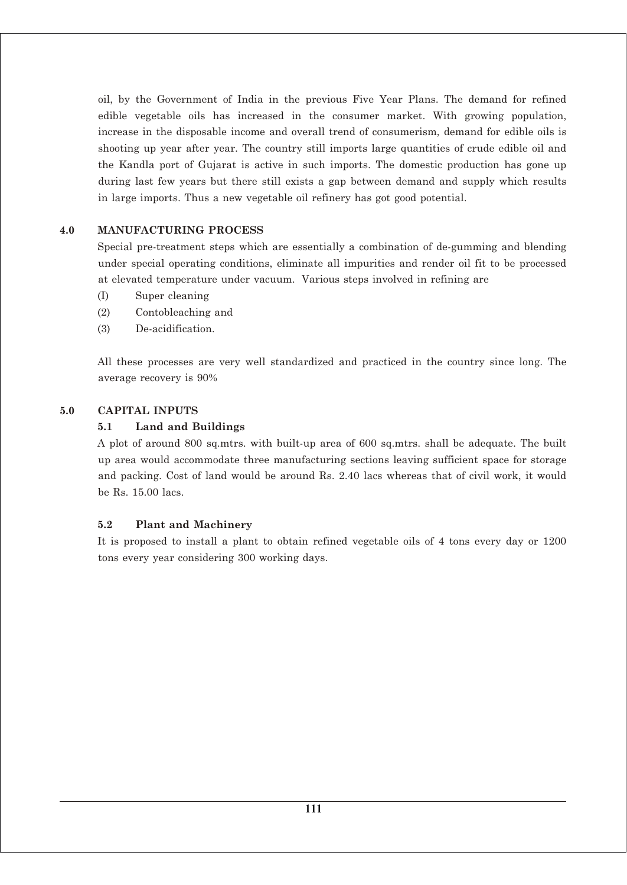oil, by the Government of India in the previous Five Year Plans. The demand for refined edible vegetable oils has increased in the consumer market. With growing population, increase in the disposable income and overall trend of consumerism, demand for edible oils is shooting up year after year. The country still imports large quantities of crude edible oil and the Kandla port of Gujarat is active in such imports. The domestic production has gone up during last few years but there still exists a gap between demand and supply which results in large imports. Thus a new vegetable oil refinery has got good potential.

## **4.0 MANUFACTURING PROCESS**

Special pre-treatment steps which are essentially a combination of de-gumming and blending under special operating conditions, eliminate all impurities and render oil fit to be processed at elevated temperature under vacuum. Various steps involved in refining are

- (I) Super cleaning
- (2) Contobleaching and
- (3) De-acidification.

All these processes are very well standardized and practiced in the country since long. The average recovery is 90%

#### **5.0 CAPITAL INPUTS**

#### **5.1 Land and Buildings**

A plot of around 800 sq.mtrs. with built-up area of 600 sq.mtrs. shall be adequate. The built up area would accommodate three manufacturing sections leaving sufficient space for storage and packing. Cost of land would be around Rs. 2.40 lacs whereas that of civil work, it would be Rs. 15.00 lacs.

#### **5.2 Plant and Machinery**

It is proposed to install a plant to obtain refined vegetable oils of 4 tons every day or 1200 tons every year considering 300 working days.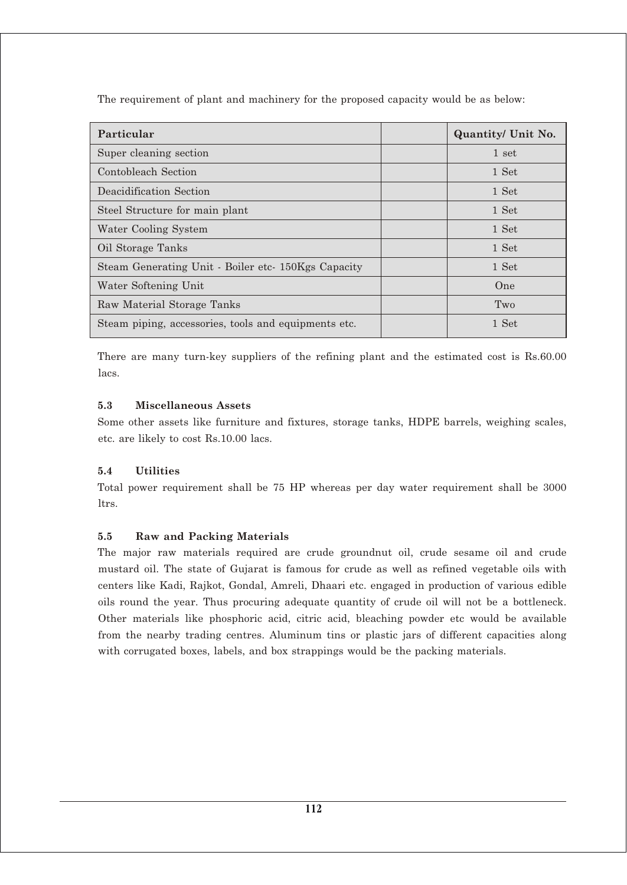The requirement of plant and machinery for the proposed capacity would be as below:

| Particular                                           | <b>Quantity/ Unit No.</b> |
|------------------------------------------------------|---------------------------|
| Super cleaning section                               | 1 set                     |
| Contobleach Section                                  | 1 Set                     |
| Deacidification Section                              | 1 Set                     |
| Steel Structure for main plant                       | 1 Set                     |
| Water Cooling System                                 | 1 Set                     |
| Oil Storage Tanks                                    | 1 Set                     |
| Steam Generating Unit - Boiler etc- 150Kgs Capacity  | 1 Set                     |
| Water Softening Unit                                 | <b>One</b>                |
| Raw Material Storage Tanks                           | Two                       |
| Steam piping, accessories, tools and equipments etc. | 1 Set                     |

There are many turn-key suppliers of the refining plant and the estimated cost is Rs.60.00 lacs.

## **5.3 Miscellaneous Assets**

Some other assets like furniture and fixtures, storage tanks, HDPE barrels, weighing scales, etc. are likely to cost Rs.10.00 lacs.

# **5.4 Utilities**

Total power requirement shall be 75 HP whereas per day water requirement shall be 3000 ltrs.

# **5.5 Raw and Packing Materials**

The major raw materials required are crude groundnut oil, crude sesame oil and crude mustard oil. The state of Gujarat is famous for crude as well as refined vegetable oils with centers like Kadi, Rajkot, Gondal, Amreli, Dhaari etc. engaged in production of various edible oils round the year. Thus procuring adequate quantity of crude oil will not be a bottleneck. Other materials like phosphoric acid, citric acid, bleaching powder etc would be available from the nearby trading centres. Aluminum tins or plastic jars of different capacities along with corrugated boxes, labels, and box strappings would be the packing materials.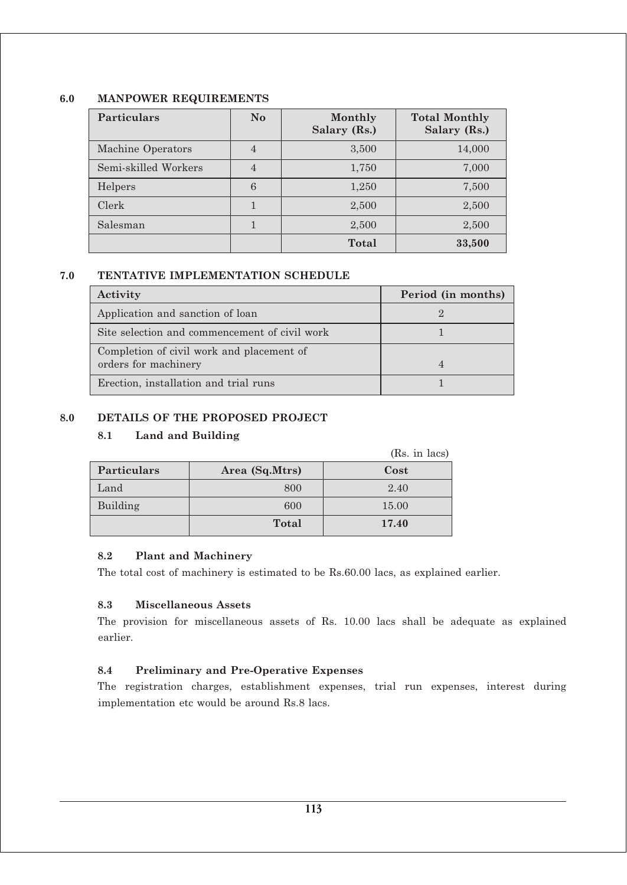## **6.0 MANPOWER REQUIREMENTS**

| <b>Particulars</b>   | N <sub>o</sub> | Monthly<br>Salary (Rs.) | <b>Total Monthly</b><br>Salary (Rs.) |
|----------------------|----------------|-------------------------|--------------------------------------|
| Machine Operators    | $\overline{4}$ | 3,500                   | 14,000                               |
| Semi-skilled Workers | $\overline{4}$ | 1,750                   | 7,000                                |
| Helpers              | 6              | 1,250                   | 7,500                                |
| Clerk                |                | 2,500                   | 2,500                                |
| Salesman             |                | 2,500                   | 2,500                                |
|                      |                | Total                   | 33,500                               |

# **7.0 TENTATIVE IMPLEMENTATION SCHEDULE**

| Activity                                                          | Period (in months) |
|-------------------------------------------------------------------|--------------------|
| Application and sanction of loan                                  |                    |
| Site selection and commencement of civil work                     |                    |
| Completion of civil work and placement of<br>orders for machinery |                    |
| Erection, installation and trial runs                             |                    |

## **8.0 DETAILS OF THE PROPOSED PROJECT**

## **8.1 Land and Building**

|                    |                | (Rs. in lacs) |
|--------------------|----------------|---------------|
| <b>Particulars</b> | Area (Sq.Mtrs) | Cost          |
| Land               | 800            | 2.40          |
| Building           | 600            | 15.00         |
|                    | Total          | 17.40         |

## **8.2 Plant and Machinery**

The total cost of machinery is estimated to be Rs.60.00 lacs, as explained earlier.

## **8.3 Miscellaneous Assets**

The provision for miscellaneous assets of Rs. 10.00 lacs shall be adequate as explained earlier.

## **8.4 Preliminary and Pre-Operative Expenses**

The registration charges, establishment expenses, trial run expenses, interest during implementation etc would be around Rs.8 lacs.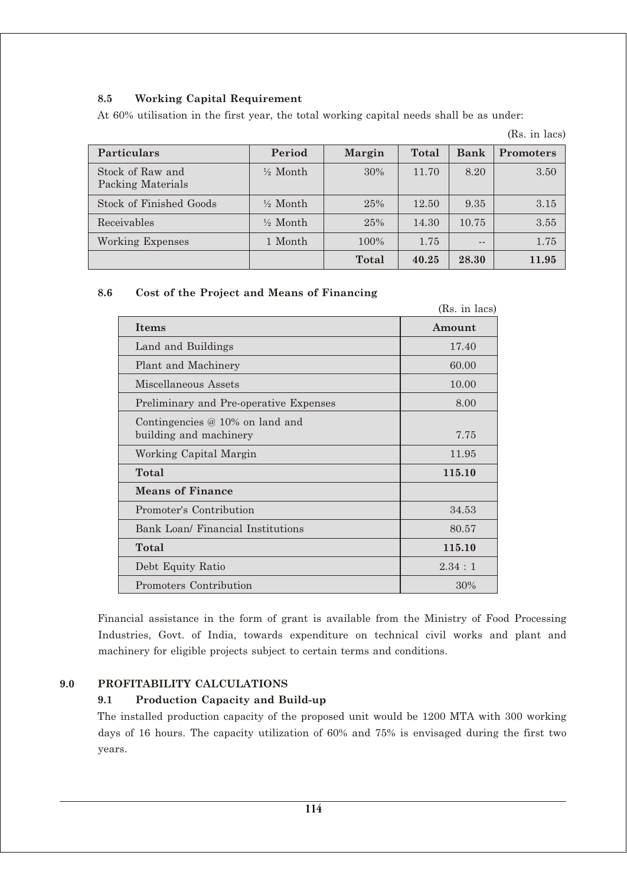## **8.5 Working Capital Requirement**

At 60% utilisation in the first year, the total working capital needs shall be as under:

| <b>Particulars</b>                    | Period              | <b>Margin</b> | Total | <b>Bank</b> | <b>Promoters</b> |
|---------------------------------------|---------------------|---------------|-------|-------------|------------------|
| Stock of Raw and<br>Packing Materials | $\frac{1}{2}$ Month | 30%           | 11.70 | 8.20        | 3.50             |
| Stock of Finished Goods               | $\frac{1}{2}$ Month | 25%           | 12.50 | 9.35        | 3.15             |
| Receivables                           | $\frac{1}{2}$ Month | 25%           | 14.30 | 10.75       | 3.55             |
| Working Expenses                      | 1 Month             | 100%          | 1.75  | $ -$        | 1.75             |
|                                       |                     | <b>Total</b>  | 40.25 | 28.30       | 11.95            |

(Rs. in lacs)

# **8.6 Cost of the Project and Means of Financing**

|                                                             | (Rs. in lacs) |
|-------------------------------------------------------------|---------------|
| <b>Items</b>                                                | Amount        |
| Land and Buildings                                          | 17.40         |
| Plant and Machinery                                         | 60.00         |
| Miscellaneous Assets                                        | 10.00         |
| Preliminary and Pre-operative Expenses                      | 8.00          |
| Contingencies $@10\%$ on land and<br>building and machinery | 7.75          |
| Working Capital Margin                                      | 11.95         |
| Total                                                       | 115.10        |
| <b>Means of Finance</b>                                     |               |
| Promoter's Contribution                                     | 34.53         |
| Bank Loan/ Financial Institutions                           | 80.57         |
| Total                                                       | 115.10        |
| Debt Equity Ratio                                           | 2.34:1        |
| Promoters Contribution                                      | 30%           |

Financial assistance in the form of grant is available from the Ministry of Food Processing Industries, Govt. of India, towards expenditure on technical civil works and plant and machinery for eligible projects subject to certain terms and conditions.

## **9.0 PROFITABILITY CALCULATIONS**

# **9.1 Production Capacity and Build-up**

The installed production capacity of the proposed unit would be 1200 MTA with 300 working days of 16 hours. The capacity utilization of 60% and 75% is envisaged during the first two years.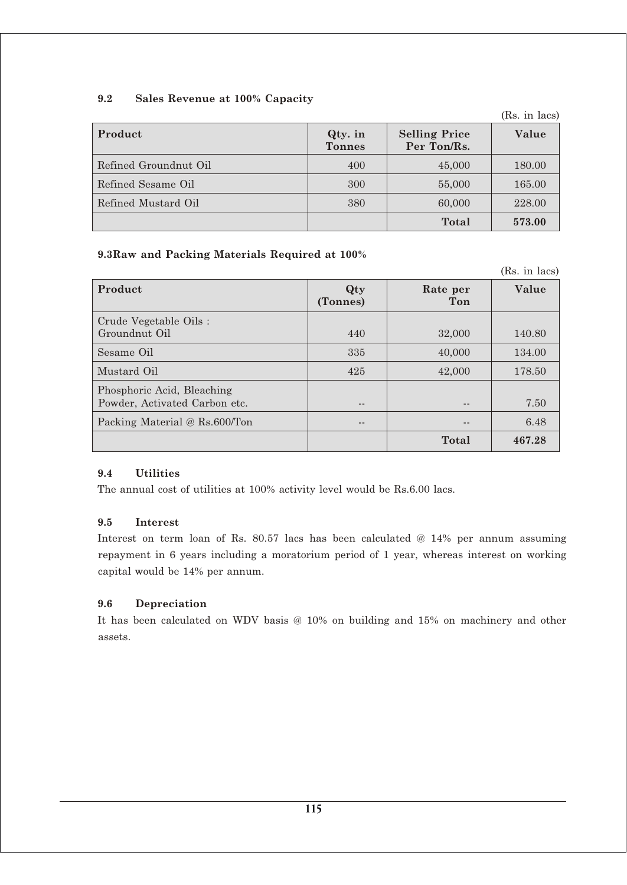## **9.2 Sales Revenue at 100% Capacity**

**Product Constanting Price Selling Price Selling Price Selling Price Selling Price Selling Price Selling Price Selling Price Selling Price Selling Price Selling Price Selling Price Selling Price Selling Price Selling Pri Tonnes Per Ton/Rs.** Refined Groundnut Oil 180.00 180.00 180.00 Refined Sesame Oil 165.00  $\vert$  300  $\vert$  55,000  $\vert$  165.00 Refined Mustard Oil 380 60,000 228.00 **Total 573.00**

# **9.3Raw and Packing Materials Required at 100%**

(Rs. in lacs) **Product Qty Rate per Value (Tonnes) Ton** Crude Vegetable Oils : Groundnut Oil 140.80 Sesame Oil 134.00 and 134.00 and 134.00 and 134.00 and 134.00 and 134.00 and 134.00 and 134.00 and 134.00 and 1 Mustard Oil 178.50 Phosphoric Acid, Bleaching Powder, Activated Carbon etc.  $\vert$  ---  $\vert$  ---  $\vert$  --- 7.50 Packing Material  $\omega$  Rs.600/Ton  $\qquad$  --  $\qquad$  --  $\qquad$  6.48 **Total 467.28**

## **9.4 Utilities**

The annual cost of utilities at 100% activity level would be Rs.6.00 lacs.

## **9.5 Interest**

Interest on term loan of Rs. 80.57 lacs has been calculated @ 14% per annum assuming repayment in 6 years including a moratorium period of 1 year, whereas interest on working capital would be 14% per annum.

## **9.6 Depreciation**

It has been calculated on WDV basis @ 10% on building and 15% on machinery and other assets.

(Rs. in lacs)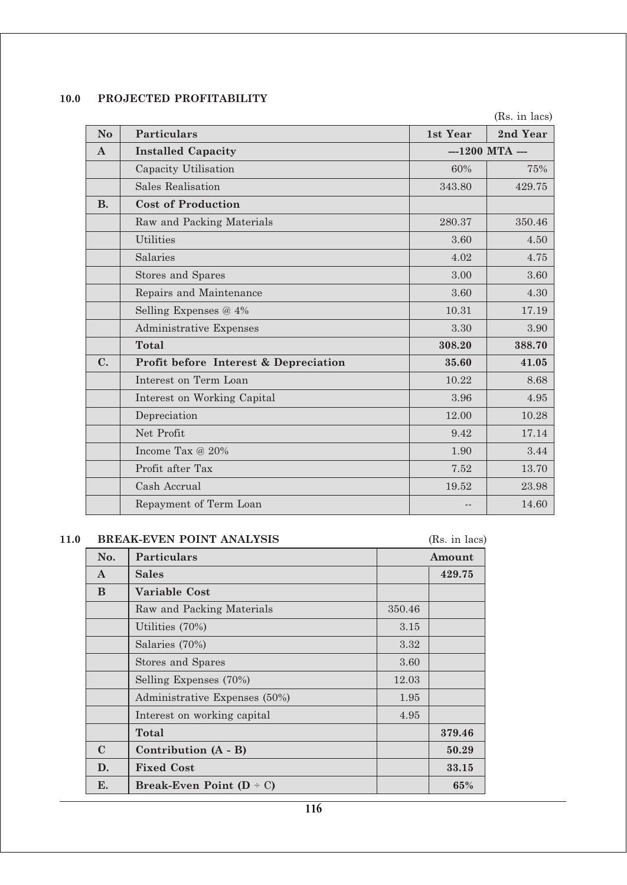## **10.0 PROJECTED PROFITABILITY**

(Rs. in lacs)

| N <sub>o</sub> | <b>Particulars</b>                    | 1st Year        | 2nd Year |
|----------------|---------------------------------------|-----------------|----------|
| $\mathbf{A}$   | <b>Installed Capacity</b>             | $-1200$ MTA $-$ |          |
|                | Capacity Utilisation                  | 60%             | 75%      |
|                | Sales Realisation                     | 343.80          | 429.75   |
| <b>B.</b>      | <b>Cost of Production</b>             |                 |          |
|                | Raw and Packing Materials             | 280.37          | 350.46   |
|                | <b>Utilities</b>                      | 3.60            | 4.50     |
|                | Salaries                              | 4.02            | 4.75     |
|                | <b>Stores and Spares</b>              | 3.00            | 3.60     |
|                | Repairs and Maintenance               | 3.60            | 4.30     |
|                | Selling Expenses @ 4%                 | 10.31           | 17.19    |
|                | Administrative Expenses               | 3.30            | 3.90     |
|                | <b>Total</b>                          | 308.20          | 388.70   |
| C.             | Profit before Interest & Depreciation | 35.60           | 41.05    |
|                | Interest on Term Loan                 | 10.22           | 8.68     |
|                | Interest on Working Capital           | 3.96            | 4.95     |
|                | Depreciation                          | 12.00           | 10.28    |
|                | Net Profit                            | 9.42            | 17.14    |
|                | Income Tax @ 20%                      | 1.90            | 3.44     |
|                | Profit after Tax                      | 7.52            | 13.70    |
|                | Cash Accrual                          | 19.52           | 23.98    |
|                | Repayment of Term Loan                |                 | 14.60    |

#### 11.0 **BREAK-EVEN POINT ANALYSIS** (Rs. in lacs)

**No. Particulars Amount A Sales** 429.75 **B Variable Cost** Raw and Packing Materials 1350.46 Utilities  $(70\%)$  3.15 Salaries (70%) 3.32 Stores and Spares 3.60 Selling Expenses (70%) 12.03 Administrative Expenses (50%) 1.95 Interest on working capital  $4.95$ **Total 379.46 C Contribution (A - B) 50.29 D. Fixed Cost** 33.15

**E. Break-Even Point**  $(D \div C)$  **65%**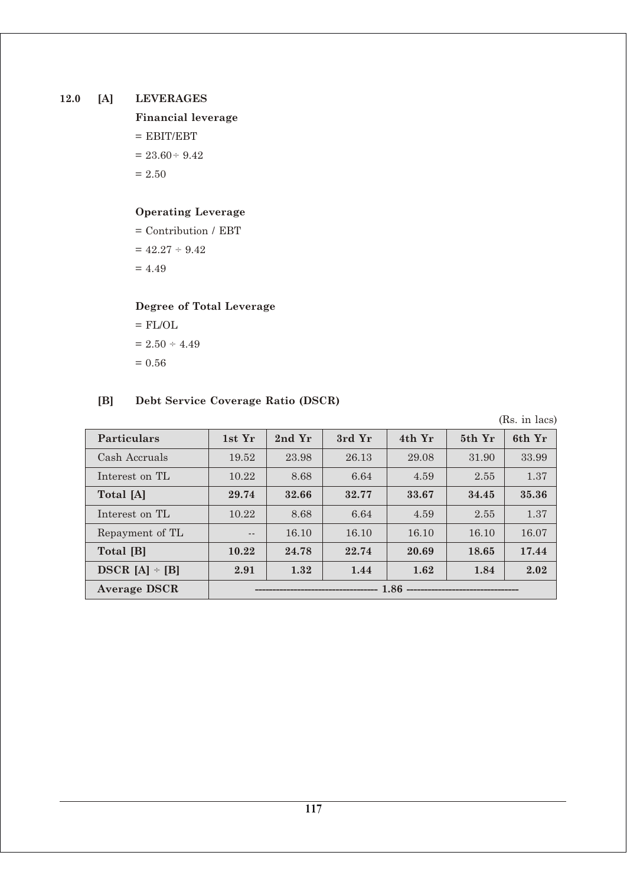# **12.0 [A] LEVERAGES**

**Financial leverage**  $=$  EBIT/EBT  $= 23.60 \div 9.42$  $= 2.50$ 

# **Operating Leverage**

= Contribution / EBT  $= 42.27 \div 9.42$  $= 4.49$ 

# **Degree of Total Leverage**

 $=$  FL/OL  $= 2.50 \div 4.49$  $= 0.56$ 

# **[B] Debt Service Coverage Ratio (DSCR)**

(Rs. in lacs)

| <b>Particulars</b>  | 1st Yr                                       | 2nd Yr | 3rd Yr | 4th Yr | 5th Yr | 6th Yr |
|---------------------|----------------------------------------------|--------|--------|--------|--------|--------|
| Cash Accruals       | 19.52                                        | 23.98  | 26.13  | 29.08  | 31.90  | 33.99  |
| Interest on TL      | 10.22                                        | 8.68   | 6.64   | 4.59   | 2.55   | 1.37   |
| Total [A]           | 29.74                                        | 32.66  | 32.77  | 33.67  | 34.45  | 35.36  |
| Interest on TL      | 10.22                                        | 8.68   | 6.64   | 4.59   | 2.55   | 1.37   |
| Repayment of TL     | $ -$                                         | 16.10  | 16.10  | 16.10  | 16.10  | 16.07  |
| Total [B]           | 10.22                                        | 24.78  | 22.74  | 20.69  | 18.65  | 17.44  |
| $DSCR [A] - [B]$    | 2.91                                         | 1.32   | 1.44   | 1.62   | 1.84   | 2.02   |
| <b>Average DSCR</b> | 1.86<br>------------------------------------ |        |        |        |        |        |